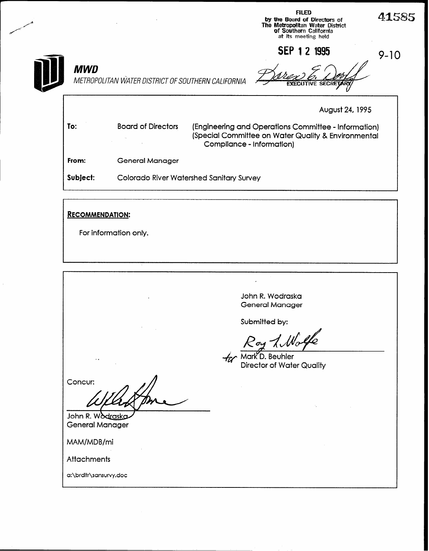|       |                                                             |                                                    |                           | <b>FILED</b><br>by the Board of Directors of<br>The Metropolitan Water District<br>of Southern California<br>at its meeting held | 41585    |
|-------|-------------------------------------------------------------|----------------------------------------------------|---------------------------|----------------------------------------------------------------------------------------------------------------------------------|----------|
|       |                                                             |                                                    |                           | <b>SEP 1 2 1995</b>                                                                                                              | $9 - 10$ |
|       | MWD                                                         | METROPOLITAN WATER DISTRICT OF SOUTHERN CALIFORNIA |                           |                                                                                                                                  |          |
|       |                                                             |                                                    |                           | August 24, 1995                                                                                                                  |          |
| To:   |                                                             | <b>Board of Directors</b>                          | Compliance - Information) | (Engineering and Operations Committee - Information)<br>(Special Committee on Water Quality & Environmental                      |          |
| From: |                                                             | <b>General Manager</b>                             |                           |                                                                                                                                  |          |
|       | Subject:<br><b>Colorado River Watershed Sanitary Survey</b> |                                                    |                           |                                                                                                                                  |          |
|       |                                                             |                                                    |                           |                                                                                                                                  |          |
|       |                                                             | <b>RECOMMENDATION:</b>                             |                           |                                                                                                                                  |          |

For information only.

John R. Wodraska General Manager

 $\overline{\phantom{a}}$ 

Submitted by:

Wolfe  $\mathcal{P}_{\boldsymbol{\sigma_k}}$ 

for Mark D. Beuhler<br>Director of Water Quality

Concur:

John R. Wodraska General Manager

MAM/MDB/mi

Attachments

a:\brdltr\sansurvy.doc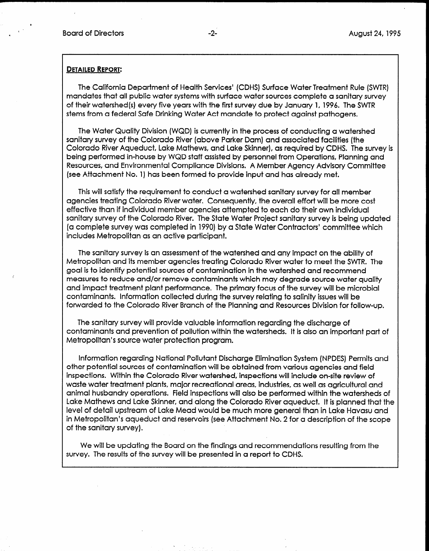$\blacksquare$ 

#### DETAILED REPORT:

The California Department of Health Services' (CDHS) Surface Water Treatment Rule (SWTR) mandates that all public water systems with surface water sources complete a sanitary survey of their watershed(s) every five years with the first survey due by January 1, 1996. The SWTR stems from a federal Safe Drinking Water Act mandate to protect against pathogens.

The Water Quality Division (WQD) is currently in the process of conducting a watershed sanitary survey of the Colorado River (above Parker Dam) and associated facilities (the Colorado River Aqueduct, Lake Mathews, and Lake Skinner), as required by CDHS. The survey is being performed in-house by WQD staff assisted by personnel from Operations, Planning and Resources, and Environmental Compliance Divisions. A Member Agency Advisory Committee (see Attachment No. 1) has been formed to provide input and has already met.

This will satisfy the requirement to conduct a watershed sanitary survey for all member agencies treating Colorado River water. Consequently, the overall effort will be more cost effective than if individual member agencies attempted to each do their own individual sanitary survey of the Colorado River. The State Water Project sanitary survey is being updated (a complete survey was completed in 1990) by a State Water Contractors' committee which includes Metropolitan as an active participant.

The sanitary survey is an assessment of the watershed and any impact on the ability of Metropolitan and its member agencies treating Colorado River water to meet the SWTR. The goal is to identify potential sources of contamination in the watershed and recommend measures to reduce and/or remove contaminants which may degrade source water quality and impact treatment plant performance. The primary focus of the survey will be microbial contaminants. Information collected during the survey relating to salinity issues will be forwarded to the Colorado River Branch of the Planning and Resources Division for follow-up.

The sanitary survey will provide valuable information regarding the discharge of contained prevention of previous value in company regulating the discribution of Metropolitan's source water protection program.

Information regarding National Pollutant Discharge Elimination System (NPDES) Permits and other potential sources of contained from various and from various agencies and field from various and field f other potential sources of contamination will be obtained from various agencies and field inspections. Within the Colorado River watershed, inspections will include on-site review of waste water treatment plants, major recreational areas, industries, as well as agricultural and animal husbandry operations. Field inspections will also be performed within the watersheds of Lake Mathews and Lake Skinner, and along the Colorado River aqueduct. It is planned that the level of detail upstream of Lake Mead would be much more general than in Lake Havasu and in Metropolitan's aqueduct and reservoirs (see Attachment No. 2 for a description of the scope of the sanitary survey).

We will be updating the board on the finalngs and recommenda

We will be updating the Board on the findings and recommendations  $\mathcal{L}_\text{c}$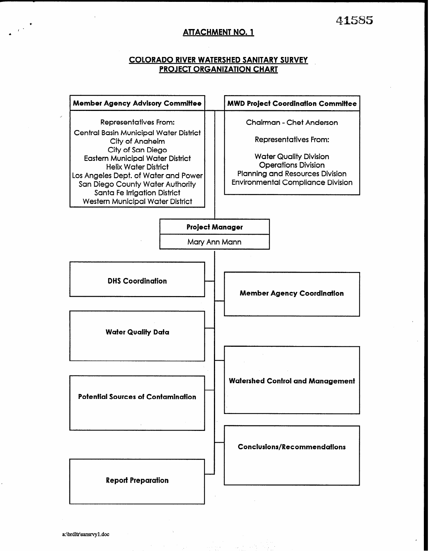# ATTACHMENT NO. 1

#### COLORADO RIVER WATERSHED SANITARY SURVEY PROJECT ORGANIZATION CHART